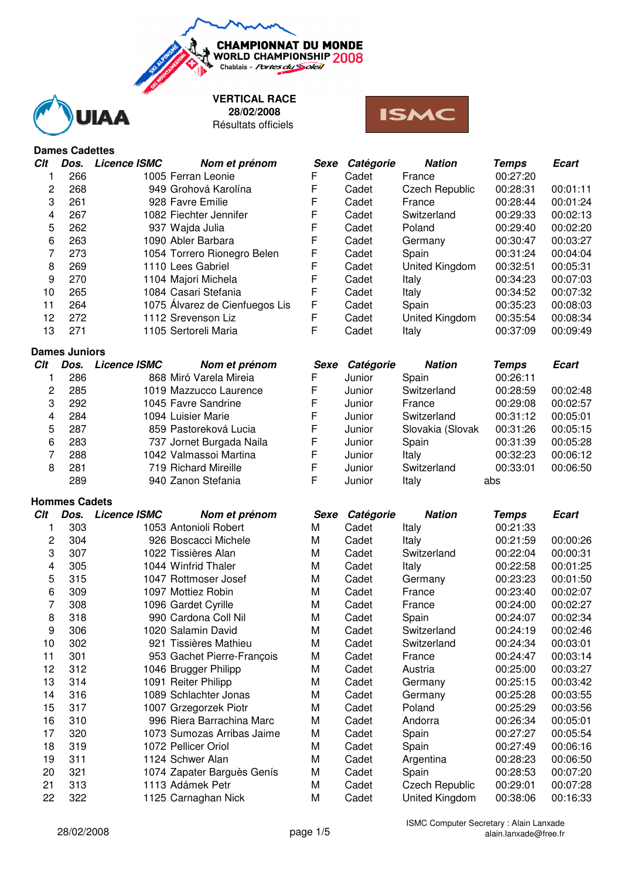**VERTICAL RACE**

**CHAMPIONNAT DU MONDE** WORLD CHAMPIONSHIP 2008 Chablais - Portes du Soleil



Résultats officiels **28/02/2008**



# **Dames Cadettes**

| Dos. | <b>Licence ISMC</b><br>Nom et prénom |   | Catégorie | <b>Nation</b>         | <b>Temps</b> | <b>Ecart</b> |
|------|--------------------------------------|---|-----------|-----------------------|--------------|--------------|
| 266  | 1005 Ferran Leonie                   | F | Cadet     | France                | 00:27:20     |              |
| 268  | 949 Grohová Karolína                 | F | Cadet     | <b>Czech Republic</b> | 00:28:31     | 00:01:11     |
| 261  | 928 Favre Emilie                     | F | Cadet     | France                | 00:28:44     | 00:01:24     |
| 267  | 1082 Fiechter Jennifer               | F | Cadet     | Switzerland           | 00:29:33     | 00:02:13     |
| 262  | 937 Wajda Julia                      | F | Cadet     | Poland                | 00:29:40     | 00:02:20     |
| 263  | 1090 Abler Barbara                   | F | Cadet     | Germany               | 00:30:47     | 00:03:27     |
| 273  | 1054 Torrero Rionegro Belen          | F | Cadet     | Spain                 | 00:31:24     | 00:04:04     |
| 269  | 1110 Lees Gabriel                    | F | Cadet     | United Kingdom        | 00:32:51     | 00:05:31     |
| 270  | 1104 Majori Michela                  | F | Cadet     | Italy                 | 00:34:23     | 00:07:03     |
| 265  | 1084 Casari Stefania                 | F | Cadet     | Italy                 | 00:34:52     | 00:07:32     |
| 264  | 1075 Alvarez de Cienfuegos Lis       | F | Cadet     | Spain                 | 00:35:23     | 00:08:03     |
| 272  | 1112 Srevenson Liz                   | F | Cadet     | United Kingdom        | 00:35:54     | 00:08:34     |
| 271  | 1105 Sertoreli Maria                 |   | Cadet     | Italy                 | 00:37:09     | 00:09:49     |
| 2    |                                      |   | Sexe      |                       |              |              |

#### **Dames Juniors**

| Clt | Dos. | <b>Licence ISMC</b> | Nom et prénom            | Sexe | Catégorie | <b>Nation</b>    | <b>Temps</b> | <b>Ecart</b> |
|-----|------|---------------------|--------------------------|------|-----------|------------------|--------------|--------------|
|     | 286  |                     | 868 Miró Varela Mireia   | F    | Junior    | Spain            | 00:26:11     |              |
|     | 285  |                     | 1019 Mazzucco Laurence   | F    | Junior    | Switzerland      | 00:28:59     | 00:02:48     |
| 3   | 292  |                     | 1045 Favre Sandrine      | F    | Junior    | France           | 00:29:08     | 00:02:57     |
| 4   | 284  |                     | 1094 Luisier Marie       | F    | Junior    | Switzerland      | 00:31:12     | 00:05:01     |
| 5.  | 287  |                     | 859 Pastoreková Lucia    | F    | Junior    | Slovakia (Slovak | 00:31:26     | 00:05:15     |
| 6   | 283  |                     | 737 Jornet Burgada Naila | F    | Junior    | Spain            | 00:31:39     | 00:05:28     |
|     | 288  |                     | 1042 Valmassoi Martina   | F    | Junior    | Italv            | 00:32:23     | 00:06:12     |
| 8   | 281  |                     | 719 Richard Mireille     | F    | Junior    | Switzerland      | 00:33:01     | 00:06:50     |
|     | 289  |                     | 940 Zanon Stefania       |      | Junior    | Italy            | abs          |              |

## **Hommes Cadets**

| Clt | Dos. | <b>Licence ISMC</b> | Nom et prénom              | Sexe | Catégorie | <b>Nation</b>         | <b>Temps</b> | <b>Ecart</b> |
|-----|------|---------------------|----------------------------|------|-----------|-----------------------|--------------|--------------|
|     | 303  |                     | 1053 Antonioli Robert      | М    | Cadet     | Italy                 | 00:21:33     |              |
| 2   | 304  |                     | 926 Boscacci Michele       | M    | Cadet     | Italy                 | 00:21:59     | 00:00:26     |
| 3   | 307  |                     | 1022 Tissières Alan        | M    | Cadet     | Switzerland           | 00:22:04     | 00:00:31     |
| 4   | 305  |                     | 1044 Winfrid Thaler        | M    | Cadet     | Italy                 | 00:22:58     | 00:01:25     |
| 5   | 315  |                     | 1047 Rottmoser Josef       | M    | Cadet     | Germany               | 00:23:23     | 00:01:50     |
| 6   | 309  |                     | 1097 Mottiez Robin         | M    | Cadet     | France                | 00:23:40     | 00:02:07     |
| 7   | 308  |                     | 1096 Gardet Cyrille        | M    | Cadet     | France                | 00:24:00     | 00:02:27     |
| 8   | 318  |                     | 990 Cardona Coll Nil       | М    | Cadet     | Spain                 | 00:24:07     | 00:02:34     |
| 9   | 306  |                     | 1020 Salamin David         | M    | Cadet     | Switzerland           | 00:24:19     | 00:02:46     |
| 10  | 302  |                     | 921 Tissières Mathieu      | M    | Cadet     | Switzerland           | 00:24:34     | 00:03:01     |
| 11  | 301  |                     | 953 Gachet Pierre-François | M    | Cadet     | France                | 00:24:47     | 00:03:14     |
| 12  | 312  |                     | 1046 Brugger Philipp       | M    | Cadet     | Austria               | 00:25:00     | 00:03:27     |
| 13  | 314  |                     | 1091 Reiter Philipp        | M    | Cadet     | Germany               | 00:25:15     | 00:03:42     |
| 14  | 316  |                     | 1089 Schlachter Jonas      | M    | Cadet     | Germany               | 00:25:28     | 00:03:55     |
| 15  | 317  |                     | 1007 Grzegorzek Piotr      | M    | Cadet     | Poland                | 00:25:29     | 00:03:56     |
| 16  | 310  |                     | 996 Riera Barrachina Marc  | M    | Cadet     | Andorra               | 00:26:34     | 00:05:01     |
| 17  | 320  |                     | 1073 Sumozas Arribas Jaime | M    | Cadet     | Spain                 | 00:27:27     | 00:05:54     |
| 18  | 319  |                     | 1072 Pellicer Oriol        | M    | Cadet     | Spain                 | 00:27:49     | 00:06:16     |
| 19  | 311  |                     | 1124 Schwer Alan           | M    | Cadet     | Argentina             | 00:28:23     | 00:06:50     |
| 20  | 321  |                     | 1074 Zapater Barguès Genís | M    | Cadet     | Spain                 | 00:28:53     | 00:07:20     |
| 21  | 313  |                     | 1113 Adámek Petr           | M    | Cadet     | <b>Czech Republic</b> | 00:29:01     | 00:07:28     |
| 22  | 322  |                     | 1125 Carnaghan Nick        | М    | Cadet     | United Kingdom        | 00:38:06     | 00:16:33     |

| 6   | 263                  | 1090 Abler Barbara                 | F    | Cadet     | Germany          | 00:30:47     | 00:03:27     |
|-----|----------------------|------------------------------------|------|-----------|------------------|--------------|--------------|
|     | 273                  | 1054 Torrero Rionegro Belen        | F    | Cadet     | Spain            | 00:31:24     | 00:04:04     |
| 8   | 269                  | 1110 Lees Gabriel                  | F    | Cadet     | United Kingdom   | 00:32:51     | 00:05:31     |
| 9   | 270                  | 1104 Majori Michela                | F    | Cadet     | Italy            | 00:34:23     | 00:07:03     |
| 10  | 265                  | 1084 Casari Stefania               | F    | Cadet     | Italy            | 00:34:52     | 00:07:32     |
| 11  | 264                  | 1075 Álvarez de Cienfuegos Lis     | F    | Cadet     | Spain            | 00:35:23     | 00:08:03     |
| 12  | 272                  | 1112 Srevenson Liz                 | F    | Cadet     | United Kingdom   | 00:35:54     | 00:08:34     |
| 13  | 271                  | 1105 Sertoreli Maria               | F    | Cadet     | Italy            | 00:37:09     | 00:09:49     |
|     | <b>Dames Juniors</b> |                                    |      |           |                  |              |              |
|     |                      |                                    |      |           |                  |              |              |
| Clt |                      | Dos. Licence ISMC<br>Nom et prénom | Sexe | Catégorie | <b>Nation</b>    | <b>Temps</b> | <b>Ecart</b> |
|     | 286                  | 868 Miró Varela Mireia             | F    | Junior    | Spain            | 00:26:11     |              |
| 2   | 285                  | 1019 Mazzucco Laurence             | F    | Junior    | Switzerland      | 00:28:59     | 00:02:48     |
| 3   | 292                  | 1045 Favre Sandrine                | F    | Junior    | France           | 00:29:08     | 00:02:57     |
| 4   | 284                  | 1094 Luisier Marie                 | F    | Junior    | Switzerland      | 00:31:12     | 00:05:01     |
| 5   | 287                  | 859 Pastoreková Lucia              | F    | Junior    | Slovakia (Slovak | 00:31:26     | 00:05:15     |
| 6   | 283                  | 737 Jornet Burgada Naila           | F    | Junior    | Spain            | 00:31:39     | 00:05:28     |
| 7   | 288                  | 1042 Valmassoi Martina             | F    | Junior    | Italy            | 00:32:23     | 00:06:12     |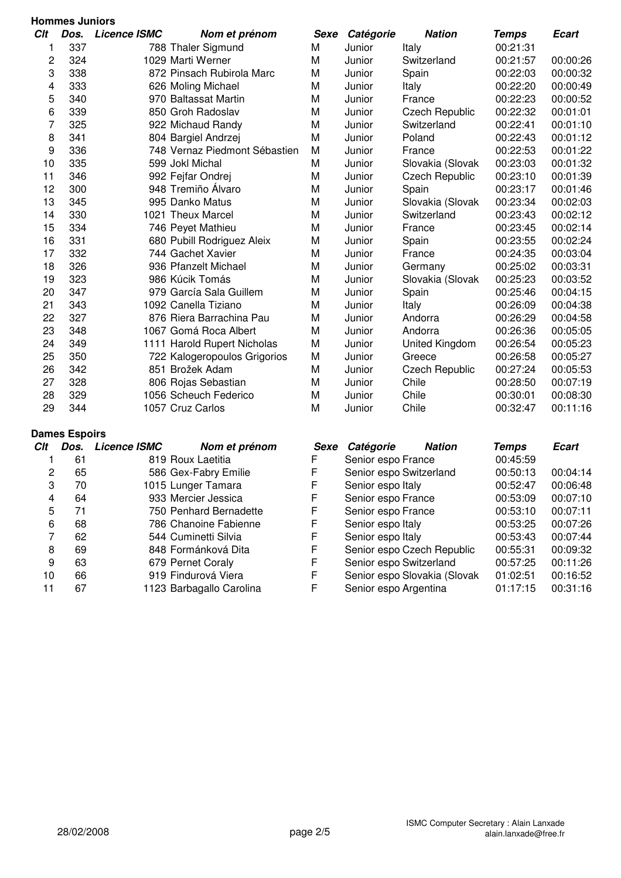|                | <b>Hommes Juniors</b> |                                      |             |                    |                         |              |              |  |  |  |
|----------------|-----------------------|--------------------------------------|-------------|--------------------|-------------------------|--------------|--------------|--|--|--|
| Clt            | Dos.                  | <b>Licence ISMC</b><br>Nom et prénom | Sexe        | Catégorie          | <b>Nation</b>           | <b>Temps</b> | <b>Ecart</b> |  |  |  |
| 1              | 337                   | 788 Thaler Sigmund                   | M           | Junior             | Italy                   | 00:21:31     |              |  |  |  |
| 2              | 324                   | 1029 Marti Werner                    | M           | Junior             | Switzerland             | 00:21:57     | 00:00:26     |  |  |  |
| 3              | 338                   | 872 Pinsach Rubirola Marc            | M           | Junior             | Spain                   | 00:22:03     | 00:00:32     |  |  |  |
| 4              | 333                   | 626 Moling Michael                   | M           | Junior             | Italy                   | 00:22:20     | 00:00:49     |  |  |  |
| 5              | 340                   | 970 Baltassat Martin                 | M           | Junior             | France                  | 00:22:23     | 00:00:52     |  |  |  |
| 6              | 339                   | 850 Groh Radoslav                    | M           | Junior             | <b>Czech Republic</b>   | 00:22:32     | 00:01:01     |  |  |  |
| 7              | 325                   | 922 Michaud Randy                    | M           | Junior             | Switzerland             | 00:22:41     | 00:01:10     |  |  |  |
| 8              | 341                   | 804 Bargiel Andrzej                  | M           | Junior             | Poland                  | 00:22:43     | 00:01:12     |  |  |  |
| 9              | 336                   | 748 Vernaz Piedmont Sébastien        | M           | Junior             | France                  | 00:22:53     | 00:01:22     |  |  |  |
| 10             | 335                   | 599 Jokl Michal                      | M           | Junior             | Slovakia (Slovak        | 00:23:03     | 00:01:32     |  |  |  |
| 11             | 346                   | 992 Fejfar Ondrej                    | M           | Junior             | <b>Czech Republic</b>   | 00:23:10     | 00:01:39     |  |  |  |
| 12             | 300                   | 948 Tremiño Álvaro                   | M           | Junior             | Spain                   | 00:23:17     | 00:01:46     |  |  |  |
| 13             | 345                   | 995 Danko Matus                      | M           | Junior             | Slovakia (Slovak        | 00:23:34     | 00:02:03     |  |  |  |
| 14             | 330                   | 1021 Theux Marcel                    | M           | Junior             | Switzerland             | 00:23:43     | 00:02:12     |  |  |  |
| 15             | 334                   | 746 Peyet Mathieu                    | M           | Junior             | France                  | 00:23:45     | 00:02:14     |  |  |  |
| 16             | 331                   | 680 Pubill Rodriguez Aleix           | M           | Junior             | Spain                   | 00:23:55     | 00:02:24     |  |  |  |
| 17             | 332                   | 744 Gachet Xavier                    | M           | Junior             | France                  | 00:24:35     | 00:03:04     |  |  |  |
| 18             | 326                   | 936 Pfanzelt Michael                 | M           | Junior             | Germany                 | 00:25:02     | 00:03:31     |  |  |  |
| 19             | 323                   | 986 Kúcik Tomás                      | M           | Junior             | Slovakia (Slovak        | 00:25:23     | 00:03:52     |  |  |  |
| 20             | 347                   | 979 García Sala Guillem              | M           | Junior             | Spain                   | 00:25:46     | 00:04:15     |  |  |  |
| 21             | 343                   | 1092 Canella Tiziano                 | M           | Junior             | Italy                   | 00:26:09     | 00:04:38     |  |  |  |
| 22             | 327                   | 876 Riera Barrachina Pau             | M           | Junior             | Andorra                 | 00:26:29     | 00:04:58     |  |  |  |
| 23             | 348                   | 1067 Gomá Roca Albert                | M           | Junior             | Andorra                 | 00:26:36     | 00:05:05     |  |  |  |
| 24             | 349                   | 1111 Harold Rupert Nicholas          | M           | Junior             | United Kingdom          | 00:26:54     | 00:05:23     |  |  |  |
| 25             | 350                   | 722 Kalogeropoulos Grigorios         | M           | Junior             | Greece                  | 00:26:58     | 00:05:27     |  |  |  |
| 26             | 342                   | 851 Brožek Adam                      | M           | Junior             | <b>Czech Republic</b>   | 00:27:24     | 00:05:53     |  |  |  |
| 27             | 328                   | 806 Rojas Sebastian                  | M           | Junior             | Chile                   | 00:28:50     | 00:07:19     |  |  |  |
| 28             | 329                   | 1056 Scheuch Federico                | M           | Junior             | Chile                   | 00:30:01     | 00:08:30     |  |  |  |
| 29             | 344                   | 1057 Cruz Carlos                     | M           | Junior             | Chile                   | 00:32:47     | 00:11:16     |  |  |  |
|                | <b>Dames Espoirs</b>  |                                      |             |                    |                         |              |              |  |  |  |
| Clt            | Dos.                  | <b>Licence ISMC</b><br>Nom et prénom | <b>Sexe</b> | Catégorie          | <b>Nation</b>           | <b>Temps</b> | <b>Ecart</b> |  |  |  |
| 1              | 61                    | 819 Roux Laetitia                    | F           | Senior espo France |                         | 00:45:59     |              |  |  |  |
| $\overline{c}$ | 65                    | 586 Gex-Fabry Emilie                 | $\mathsf F$ |                    | Senior espo Switzerland | 00:50:13     | 00:04:14     |  |  |  |
| 3              | 70                    | 1015 Lunger Tamara                   | F           | Senior espo Italy  |                         | 00:52:47     | 00:06:48     |  |  |  |

|    | ັບເ | 0 IV TIVUA LUVIIII.      |   | <b>OUTINE CONDITION</b>      | 00. <del>1</del> 0.00 |          |
|----|-----|--------------------------|---|------------------------------|-----------------------|----------|
| 2  | 65  | 586 Gex-Fabry Emilie     |   | Senior espo Switzerland      | 00:50:13              | 00:04:14 |
| 3  | 70  | 1015 Lunger Tamara       | F | Senior espo Italy            | 00:52:47              | 00:06:48 |
| 4  | 64  | 933 Mercier Jessica      |   | Senior espo France           | 00:53:09              | 00:07:10 |
| 5. | 71  | 750 Penhard Bernadette   |   | Senior espo France           | 00:53:10              | 00:07:11 |
| 6  | 68  | 786 Chanoine Fabienne    | F | Senior espo Italy            | 00:53:25              | 00:07:26 |
|    | 62  | 544 Cuminetti Silvia     |   | Senior espo Italy            | 00:53:43              | 00:07:44 |
| 8  | 69  | 848 Formánková Dita      | F | Senior espo Czech Republic   | 00:55:31              | 00:09:32 |
| 9  | 63  | 679 Pernet Coraly        | F | Senior espo Switzerland      | 00:57:25              | 00:11:26 |
| 10 | 66  | 919 Findurová Viera      |   | Senior espo Slovakia (Slovak | 01:02:51              | 00:16:52 |
|    | 67  | 1123 Barbagallo Carolina |   | Senior espo Argentina        | 01:17:15              | 00:31:16 |
|    |     |                          |   |                              |                       |          |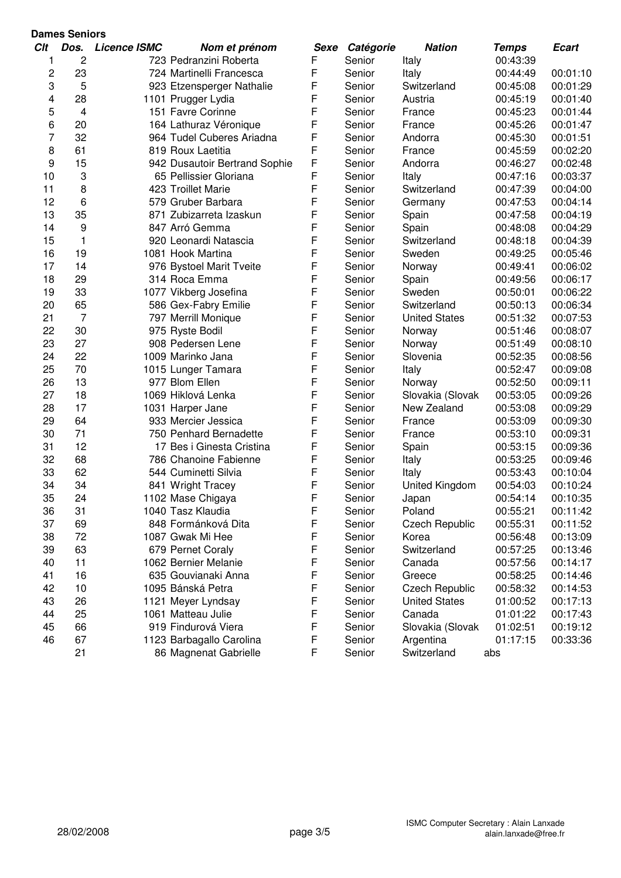|     | <b>Dames Seniors</b> |                     |                               |             |           |                       |              |              |
|-----|----------------------|---------------------|-------------------------------|-------------|-----------|-----------------------|--------------|--------------|
| Clt | Dos.                 | <b>Licence ISMC</b> | Nom et prénom                 | <b>Sexe</b> | Catégorie | <b>Nation</b>         | <b>Temps</b> | <b>Ecart</b> |
| 1   | 2                    |                     | 723 Pedranzini Roberta        | F           | Senior    | Italy                 | 00:43:39     |              |
| 2   | 23                   |                     | 724 Martinelli Francesca      | F           | Senior    | Italy                 | 00:44:49     | 00:01:10     |
| 3   | 5                    |                     | 923 Etzensperger Nathalie     | F           | Senior    | Switzerland           | 00:45:08     | 00:01:29     |
| 4   | 28                   |                     | 1101 Prugger Lydia            | F           | Senior    | Austria               | 00:45:19     | 00:01:40     |
| 5   | 4                    |                     | 151 Favre Corinne             | F           | Senior    | France                | 00:45:23     | 00:01:44     |
| 6   | 20                   |                     | 164 Lathuraz Véronique        | F           | Senior    | France                | 00:45:26     | 00:01:47     |
| 7   | 32                   |                     | 964 Tudel Cuberes Ariadna     | F           | Senior    | Andorra               | 00:45:30     | 00:01:51     |
| 8   | 61                   |                     | 819 Roux Laetitia             | F           | Senior    | France                | 00:45:59     | 00:02:20     |
| 9   | 15                   |                     | 942 Dusautoir Bertrand Sophie | F           | Senior    | Andorra               | 00:46:27     | 00:02:48     |
| 10  | 3                    |                     | 65 Pellissier Gloriana        | F           | Senior    | Italy                 | 00:47:16     | 00:03:37     |
| 11  | 8                    |                     | 423 Troillet Marie            | F           | Senior    | Switzerland           | 00:47:39     | 00:04:00     |
| 12  | 6                    |                     | 579 Gruber Barbara            | F           | Senior    | Germany               | 00:47:53     | 00:04:14     |
| 13  | 35                   |                     | 871 Zubizarreta Izaskun       | F           | Senior    | Spain                 | 00:47:58     | 00:04:19     |
| 14  | 9                    |                     | 847 Arró Gemma                | F           | Senior    | Spain                 | 00:48:08     | 00:04:29     |
| 15  | $\mathbf{1}$         |                     | 920 Leonardi Natascia         | F           | Senior    | Switzerland           | 00:48:18     | 00:04:39     |
| 16  | 19                   |                     | 1081 Hook Martina             | F           | Senior    | Sweden                | 00:49:25     | 00:05:46     |
| 17  | 14                   |                     | 976 Bystoel Marit Tveite      | F           | Senior    | Norway                | 00:49:41     | 00:06:02     |
| 18  | 29                   |                     | 314 Roca Emma                 | F           | Senior    | Spain                 | 00:49:56     | 00:06:17     |
| 19  | 33                   |                     | 1077 Vikberg Josefina         | F           | Senior    | Sweden                | 00:50:01     | 00:06:22     |
| 20  | 65                   |                     | 586 Gex-Fabry Emilie          | F           | Senior    | Switzerland           | 00:50:13     | 00:06:34     |
| 21  | 7                    |                     | 797 Merrill Monique           | F           | Senior    | <b>United States</b>  | 00:51:32     | 00:07:53     |
| 22  | 30                   |                     | 975 Ryste Bodil               | F           | Senior    | Norway                | 00:51:46     | 00:08:07     |
| 23  | 27                   |                     | 908 Pedersen Lene             | F           | Senior    | Norway                | 00:51:49     | 00:08:10     |
| 24  | 22                   |                     | 1009 Marinko Jana             | F           | Senior    | Slovenia              | 00:52:35     | 00:08:56     |
| 25  | 70                   |                     | 1015 Lunger Tamara            | F           | Senior    | Italy                 | 00:52:47     | 00:09:08     |
| 26  | 13                   |                     | 977 Blom Ellen                | F           | Senior    | Norway                | 00:52:50     | 00:09:11     |
| 27  | 18                   |                     | 1069 Hiklová Lenka            | F           | Senior    | Slovakia (Slovak      | 00:53:05     | 00:09:26     |
| 28  | 17                   |                     | 1031 Harper Jane              | F           | Senior    | New Zealand           | 00:53:08     | 00:09:29     |
| 29  | 64                   |                     | 933 Mercier Jessica           | F           | Senior    | France                | 00:53:09     | 00:09:30     |
| 30  | 71                   |                     | 750 Penhard Bernadette        | F           | Senior    | France                | 00:53:10     | 00:09:31     |
| 31  | 12                   |                     | 17 Bes i Ginesta Cristina     | F           | Senior    | Spain                 | 00:53:15     | 00:09:36     |
| 32  | 68                   |                     | 786 Chanoine Fabienne         | F           | Senior    | Italy                 | 00:53:25     | 00:09:46     |
| 33  | 62                   |                     | 544 Cuminetti Silvia          | F           | Senior    | Italy                 | 00:53:43     | 00:10:04     |
| 34  | 34                   |                     | 841 Wright Tracey             | F           | Senior    | United Kingdom        | 00:54:03     | 00:10:24     |
| 35  | 24                   |                     | 1102 Mase Chigaya             | F           | Senior    | Japan                 | 00:54:14     | 00:10:35     |
| 36  | 31                   |                     | 1040 Tasz Klaudia             | F           | Senior    | Poland                | 00:55:21     | 00:11:42     |
| 37  | 69                   |                     | 848 Formánková Dita           | F           | Senior    | <b>Czech Republic</b> | 00:55:31     | 00:11:52     |
| 38  | 72                   |                     | 1087 Gwak Mi Hee              | F           | Senior    | Korea                 | 00:56:48     | 00:13:09     |
| 39  | 63                   |                     | 679 Pernet Coraly             | F           | Senior    | Switzerland           | 00:57:25     | 00:13:46     |
| 40  | 11                   |                     | 1062 Bernier Melanie          | F           | Senior    | Canada                | 00:57:56     | 00:14:17     |
| 41  | 16                   |                     | 635 Gouvianaki Anna           | F           | Senior    | Greece                | 00:58:25     | 00:14:46     |
| 42  | 10                   |                     | 1095 Bánská Petra             | F           | Senior    | <b>Czech Republic</b> | 00:58:32     | 00:14:53     |
| 43  | 26                   |                     | 1121 Meyer Lyndsay            | F           | Senior    | <b>United States</b>  | 01:00:52     | 00:17:13     |
| 44  | 25                   |                     | 1061 Matteau Julie            | F           | Senior    | Canada                | 01:01:22     | 00:17:43     |
| 45  | 66                   |                     | 919 Findurová Viera           | F           | Senior    | Slovakia (Slovak      | 01:02:51     | 00:19:12     |
| 46  | 67                   |                     | 1123 Barbagallo Carolina      | F           | Senior    | Argentina             | 01:17:15     | 00:33:36     |
|     | 21                   |                     | 86 Magnenat Gabrielle         | F           | Senior    | Switzerland           | abs          |              |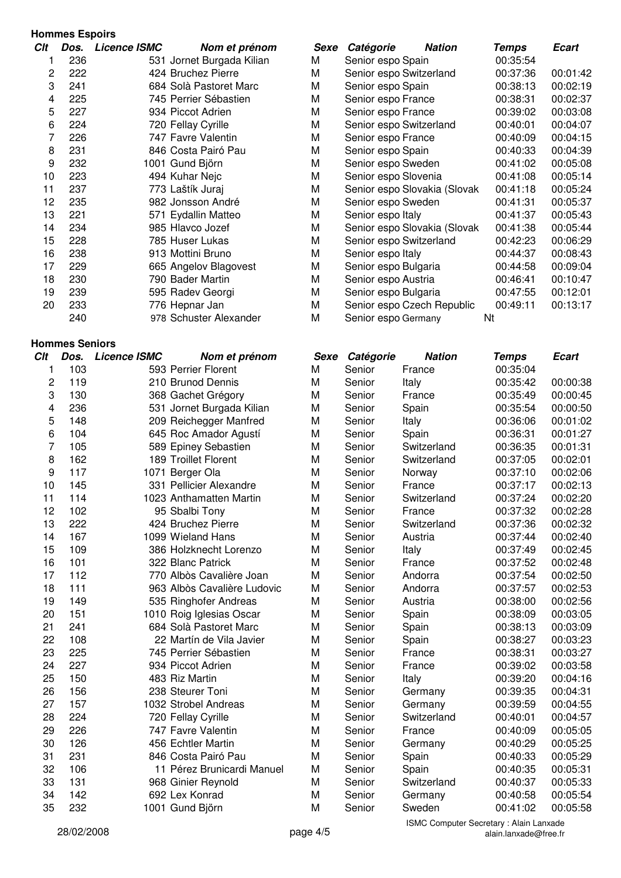### **Hommes Espoirs**  $C$ *lt Dos. Licence ISMC* **Nomet prénom** 1 236 531 Jornet Burgada Kilian M 2 222 424 Bruchez Pierre M 3 241 684 Solà Pastoret Marc M 4 225 745 Perrier Sébastien M<br>5 227 934 Piccot Adrien 227 934 Piccot Adrien M 6 224 720 Fellay Cyrille M 7 226 747 Favre Valentin M Senior M 8 231 846 Costa Pairó Pau M 9 232 1001 Gund Björn M M Senior M 10 223 494 Kuhar Nejc M<br>11 237 773 Laštík Jurai M 11 237 773 Laštík Jurai 12 235 982 Jonsson André M 13 221 571 Eydallin Matteo M 14 234 985 Hlavco Jozef M 15 228 785 Huser Lukas M 16 238 913 Mottini Bruno M 17 229 665 Angelov Blagovest M 18 230 790 Bader Martin M 19 239 595 Radev Georgi M Senior M 20 233 776 Hepnar Jan M 240 978 Schuster Alexander

## **Hommes Seniors**

| <b>Clt</b> | Dos. | <b>Licence ISMC</b> | Nom et prénom               | <b>Sexe</b> | Catégorie | <b>Nation</b> | <b>Temps</b> | <b>Ecart</b> |
|------------|------|---------------------|-----------------------------|-------------|-----------|---------------|--------------|--------------|
| 1          | 103  |                     | 593 Perrier Florent         | M           | Senior    | France        | 00:35:04     |              |
| 2          | 119  |                     | 210 Brunod Dennis           | M           | Senior    | Italy         | 00:35:42     | 00:00:38     |
| 3          | 130  |                     | 368 Gachet Grégory          | M           | Senior    | France        | 00:35:49     | 00:00:45     |
| 4          | 236  |                     | 531 Jornet Burgada Kilian   | M           | Senior    | Spain         | 00:35:54     | 00:00:50     |
| 5          | 148  |                     | 209 Reichegger Manfred      | M           | Senior    | Italy         | 00:36:06     | 00:01:02     |
| 6          | 104  |                     | 645 Roc Amador Agustí       | M           | Senior    | Spain         | 00:36:31     | 00:01:27     |
| 7          | 105  |                     | 589 Epiney Sebastien        | M           | Senior    | Switzerland   | 00:36:35     | 00:01:31     |
| 8          | 162  |                     | 189 Troillet Florent        | M           | Senior    | Switzerland   | 00:37:05     | 00:02:01     |
| 9          | 117  |                     | 1071 Berger Ola             | M           | Senior    | Norway        | 00:37:10     | 00:02:06     |
| 10         | 145  |                     | 331 Pellicier Alexandre     | M           | Senior    | France        | 00:37:17     | 00:02:13     |
| 11         | 114  |                     | 1023 Anthamatten Martin     | M           | Senior    | Switzerland   | 00:37:24     | 00:02:20     |
| 12         | 102  |                     | 95 Sbalbi Tony              | M           | Senior    | France        | 00:37:32     | 00:02:28     |
| 13         | 222  |                     | 424 Bruchez Pierre          | M           | Senior    | Switzerland   | 00:37:36     | 00:02:32     |
| 14         | 167  |                     | 1099 Wieland Hans           | M           | Senior    | Austria       | 00:37:44     | 00:02:40     |
| 15         | 109  |                     | 386 Holzknecht Lorenzo      | M           | Senior    | Italy         | 00:37:49     | 00:02:45     |
| 16         | 101  |                     | 322 Blanc Patrick           | M           | Senior    | France        | 00:37:52     | 00:02:48     |
| 17         | 112  |                     | 770 Albòs Cavalière Joan    | M           | Senior    | Andorra       | 00:37:54     | 00:02:50     |
| 18         | 111  |                     | 963 Albòs Cavalière Ludovic | M           | Senior    | Andorra       | 00:37:57     | 00:02:53     |
| 19         | 149  |                     | 535 Ringhofer Andreas       | M           | Senior    | Austria       | 00:38:00     | 00:02:56     |
| 20         | 151  |                     | 1010 Roig Iglesias Oscar    | M           | Senior    | Spain         | 00:38:09     | 00:03:05     |
| 21         | 241  |                     | 684 Solà Pastoret Marc      | M           | Senior    | Spain         | 00:38:13     | 00:03:09     |
| 22         | 108  |                     | 22 Martín de Vila Javier    | M           | Senior    | Spain         | 00:38:27     | 00:03:23     |
| 23         | 225  |                     | 745 Perrier Sébastien       | M           | Senior    | France        | 00:38:31     | 00:03:27     |
| 24         | 227  |                     | 934 Piccot Adrien           | M           | Senior    | France        | 00:39:02     | 00:03:58     |
| 25         | 150  |                     | 483 Riz Martin              | M           | Senior    | Italy         | 00:39:20     | 00:04:16     |
| 26         | 156  |                     | 238 Steurer Toni            | M           | Senior    | Germany       | 00:39:35     | 00:04:31     |
| 27         | 157  |                     | 1032 Strobel Andreas        | M           | Senior    | Germany       | 00:39:59     | 00:04:55     |
| 28         | 224  |                     | 720 Fellay Cyrille          | M           | Senior    | Switzerland   | 00:40:01     | 00:04:57     |
| 29         | 226  |                     | 747 Favre Valentin          | M           | Senior    | France        | 00:40:09     | 00:05:05     |
| 30         | 126  |                     | 456 Echtler Martin          | M           | Senior    | Germany       | 00:40:29     | 00:05:25     |
| 31         | 231  |                     | 846 Costa Pairó Pau         | M           | Senior    | Spain         | 00:40:33     | 00:05:29     |
| 32         | 106  |                     | 11 Pérez Brunicardi Manuel  | M           | Senior    | Spain         | 00:40:35     | 00:05:31     |
| 33         | 131  |                     | 968 Ginier Reynold          | M           | Senior    | Switzerland   | 00:40:37     | 00:05:33     |
| 34         | 142  |                     | 692 Lex Konrad              | M           | Senior    | Germany       | 00:40:58     | 00:05:54     |
| 35         | 232  |                     | 1001 Gund Björn             | M           | Senior    | Sweden        | 00:41:02     | 00:05:58     |
|            |      |                     |                             |             |           |               |              |              |

| Switzerland | 00:37:05 | 00:02:01 |
|-------------|----------|----------|
| Norway      | 00:37:10 | 00:02:06 |
| France      | 00:37:17 | 00:02:13 |
| Switzerland | 00:37:24 | 00:02:20 |
| France      | 00:37:32 | 00:02:28 |
| Switzerland | 00:37:36 | 00:02:32 |
| Austria     | 00:37:44 | 00:02:40 |
| Italy       | 00:37:49 | 00:02:45 |
| France      | 00:37:52 | 00:02:48 |
| Andorra     | 00:37:54 | 00:02:50 |

| Sexe | <b>Nation</b><br>Catégorie   | Temps    | Ecart    |
|------|------------------------------|----------|----------|
| VI   | Senior espo Spain            | 00:35:54 |          |
| Ń    | Senior espo Switzerland      | 00:37:36 | 00:01:42 |
| VI   | Senior espo Spain            | 00:38:13 | 00:02:19 |
| N    | Senior espo France           | 00:38:31 | 00:02:37 |
| Ń    | Senior espo France           | 00:39:02 | 00:03:08 |
| VI   | Senior espo Switzerland      | 00:40:01 | 00:04:07 |
| N    | Senior espo France           | 00:40:09 | 00:04:15 |
| Ń    | Senior espo Spain            | 00:40:33 | 00:04:39 |
| VI   | Senior espo Sweden           | 00:41:02 | 00:05:08 |
| N    | Senior espo Slovenia         | 00:41:08 | 00:05:14 |
| Ń    | Senior espo Slovakia (Slovak | 00:41:18 | 00:05:24 |
| N    | Senior espo Sweden           | 00:41:31 | 00:05:37 |
| N    | Senior espo Italy            | 00:41:37 | 00:05:43 |
| Ń    | Senior espo Slovakia (Slovak | 00:41:38 | 00:05:44 |
| N    | Senior espo Switzerland      | 00:42:23 | 00:06:29 |
| N    | Senior espo Italy            | 00:44:37 | 00:08:43 |
| Ń    | Senior espo Bulgaria         | 00:44:58 | 00:09:04 |
| VI   | Senior espo Austria          | 00:46:41 | 00:10:47 |
| N    | Senior espo Bulgaria         | 00:47:55 | 00:12:01 |
| N    | Senior espo Czech Republic   | 00:49:11 | 00:13:17 |
| N    | Senior espo Germany          | Nt       |          |